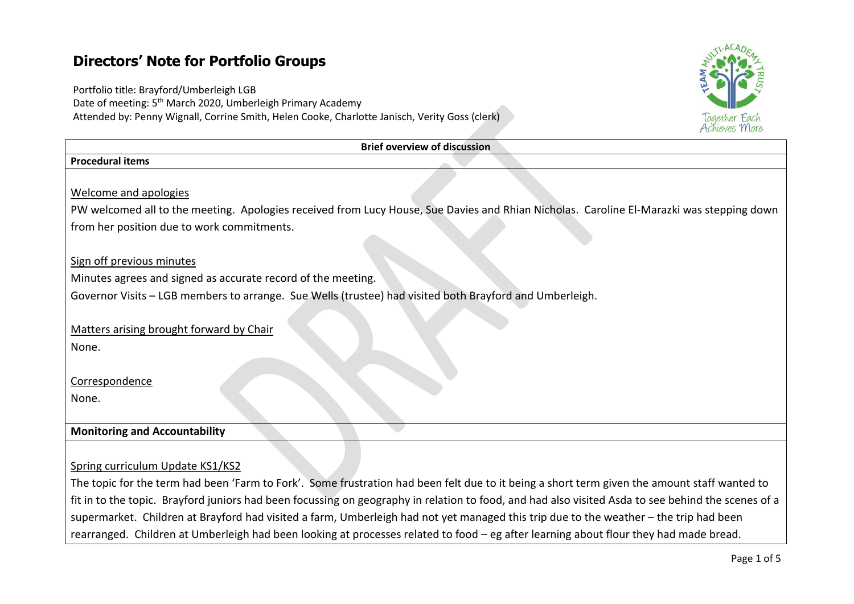# **Directors' Note for Portfolio Groups**

Portfolio title: Brayford/Umberleigh LGB Date of meeting: 5<sup>th</sup> March 2020, Umberleigh Primary Academy Attended by: Penny Wignall, Corrine Smith, Helen Cooke, Charlotte Janisch, Verity Goss (clerk)



| <b>Brief overview of discussion</b>                                                                                                      |
|------------------------------------------------------------------------------------------------------------------------------------------|
| <b>Procedural items</b>                                                                                                                  |
|                                                                                                                                          |
| Welcome and apologies                                                                                                                    |
| PW welcomed all to the meeting. Apologies received from Lucy House, Sue Davies and Rhian Nicholas. Caroline El-Marazki was stepping down |
| from her position due to work commitments.                                                                                               |
|                                                                                                                                          |
| Sign off previous minutes                                                                                                                |
| Minutes agrees and signed as accurate record of the meeting.                                                                             |
| Governor Visits - LGB members to arrange. Sue Wells (trustee) had visited both Brayford and Umberleigh.                                  |
|                                                                                                                                          |
| Matters arising brought forward by Chair                                                                                                 |
| None.                                                                                                                                    |
|                                                                                                                                          |
| Correspondence                                                                                                                           |
| None.                                                                                                                                    |
|                                                                                                                                          |
| <b>Monitoring and Accountability</b>                                                                                                     |
|                                                                                                                                          |
| Spring curriculum Update KS1/KS2                                                                                                         |

The topic for the term had been 'Farm to Fork'. Some frustration had been felt due to it being a short term given the amount staff wanted to fit in to the topic. Brayford juniors had been focussing on geography in relation to food, and had also visited Asda to see behind the scenes of a supermarket. Children at Brayford had visited a farm, Umberleigh had not yet managed this trip due to the weather – the trip had been rearranged. Children at Umberleigh had been looking at processes related to food – eg after learning about flour they had made bread.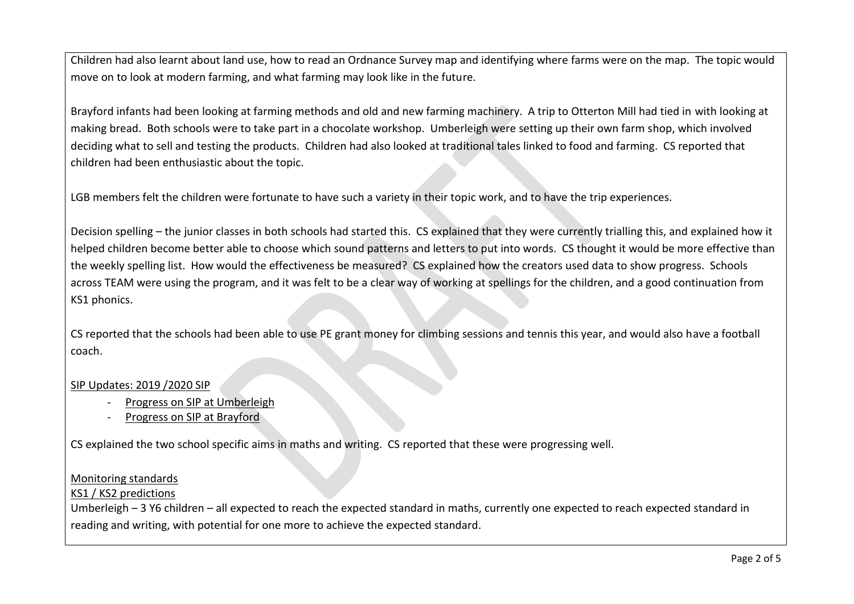Children had also learnt about land use, how to read an Ordnance Survey map and identifying where farms were on the map. The topic would move on to look at modern farming, and what farming may look like in the future.

Brayford infants had been looking at farming methods and old and new farming machinery. A trip to Otterton Mill had tied in with looking at making bread. Both schools were to take part in a chocolate workshop. Umberleigh were setting up their own farm shop, which involved deciding what to sell and testing the products. Children had also looked at traditional tales linked to food and farming. CS reported that children had been enthusiastic about the topic.

LGB members felt the children were fortunate to have such a variety in their topic work, and to have the trip experiences.

Decision spelling – the junior classes in both schools had started this. CS explained that they were currently trialling this, and explained how it helped children become better able to choose which sound patterns and letters to put into words. CS thought it would be more effective than the weekly spelling list. How would the effectiveness be measured? CS explained how the creators used data to show progress. Schools across TEAM were using the program, and it was felt to be a clear way of working at spellings for the children, and a good continuation from KS1 phonics.

CS reported that the schools had been able to use PE grant money for climbing sessions and tennis this year, and would also have a football coach.

#### SIP Updates: 2019 /2020 SIP

- Progress on SIP at Umberleigh
- Progress on SIP at Brayford

CS explained the two school specific aims in maths and writing. CS reported that these were progressing well.

#### Monitoring standards

# KS1 / KS2 predictions

Umberleigh – 3 Y6 children – all expected to reach the expected standard in maths, currently one expected to reach expected standard in reading and writing, with potential for one more to achieve the expected standard.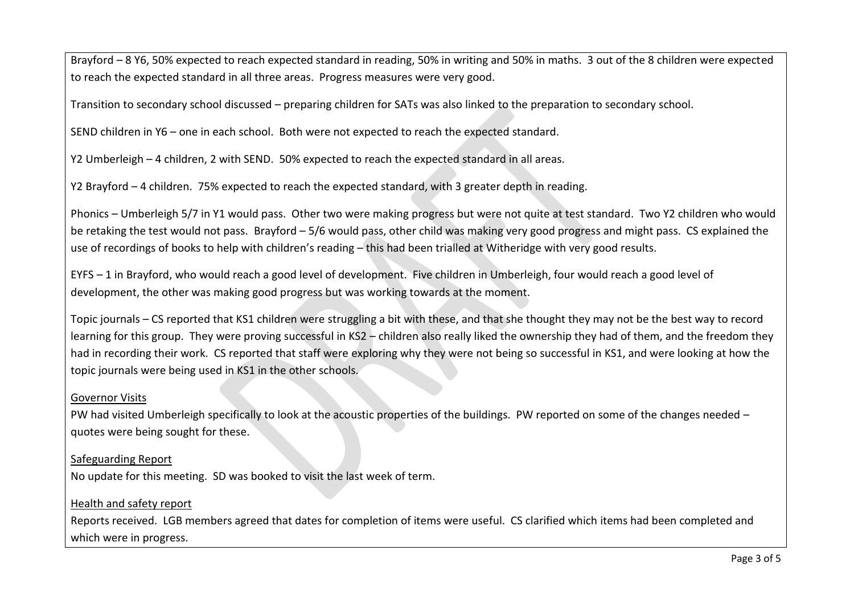Brayford – 8 Y6, 50% expected to reach expected standard in reading, 50% in writing and 50% in maths. 3 out of the 8 children were expected to reach the expected standard in all three areas. Progress measures were very good.

Transition to secondary school discussed – preparing children for SATs was also linked to the preparation to secondary school.

SEND children in Y6 – one in each school. Both were not expected to reach the expected standard.

Y2 Umberleigh – 4 children, 2 with SEND. 50% expected to reach the expected standard in all areas.

Y2 Brayford – 4 children. 75% expected to reach the expected standard, with 3 greater depth in reading.

Phonics – Umberleigh 5/7 in Y1 would pass. Other two were making progress but were not quite at test standard. Two Y2 children who would be retaking the test would not pass. Brayford – 5/6 would pass, other child was making very good progress and might pass. CS explained the use of recordings of books to help with children's reading – this had been trialled at Witheridge with very good results.

EYFS – 1 in Brayford, who would reach a good level of development. Five children in Umberleigh, four would reach a good level of development, the other was making good progress but was working towards at the moment.

Topic journals – CS reported that KS1 children were struggling a bit with these, and that she thought they may not be the best way to record learning for this group. They were proving successful in KS2 – children also really liked the ownership they had of them, and the freedom they had in recording their work. CS reported that staff were exploring why they were not being so successful in KS1, and were looking at how the topic journals were being used in KS1 in the other schools.

# Governor Visits

PW had visited Umberleigh specifically to look at the acoustic properties of the buildings. PW reported on some of the changes needed – quotes were being sought for these.

# Safeguarding Report

No update for this meeting. SD was booked to visit the last week of term.

# Health and safety report

Reports received. LGB members agreed that dates for completion of items were useful. CS clarified which items had been completed and which were in progress.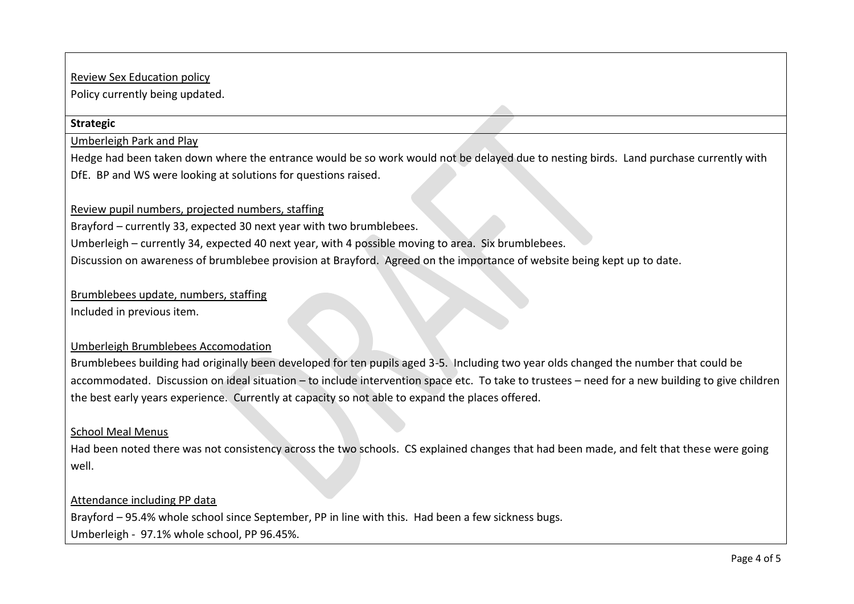### Review Sex Education policy

Policy currently being updated.

#### **Strategic**

Umberleigh Park and Play

Hedge had been taken down where the entrance would be so work would not be delayed due to nesting birds. Land purchase currently with DfE. BP and WS were looking at solutions for questions raised.

# Review pupil numbers, projected numbers, staffing

Brayford – currently 33, expected 30 next year with two brumblebees.

Umberleigh – currently 34, expected 40 next year, with 4 possible moving to area. Six brumblebees.

Discussion on awareness of brumblebee provision at Brayford. Agreed on the importance of website being kept up to date.

# Brumblebees update, numbers, staffing

Included in previous item.

#### Umberleigh Brumblebees Accomodation

Brumblebees building had originally been developed for ten pupils aged 3-5. Including two year olds changed the number that could be accommodated. Discussion on ideal situation – to include intervention space etc. To take to trustees – need for a new building to give children the best early years experience. Currently at capacity so not able to expand the places offered.

#### School Meal Menus

Had been noted there was not consistency across the two schools. CS explained changes that had been made, and felt that these were going well.

#### Attendance including PP data

Brayford – 95.4% whole school since September, PP in line with this. Had been a few sickness bugs.

Umberleigh - 97.1% whole school, PP 96.45%.